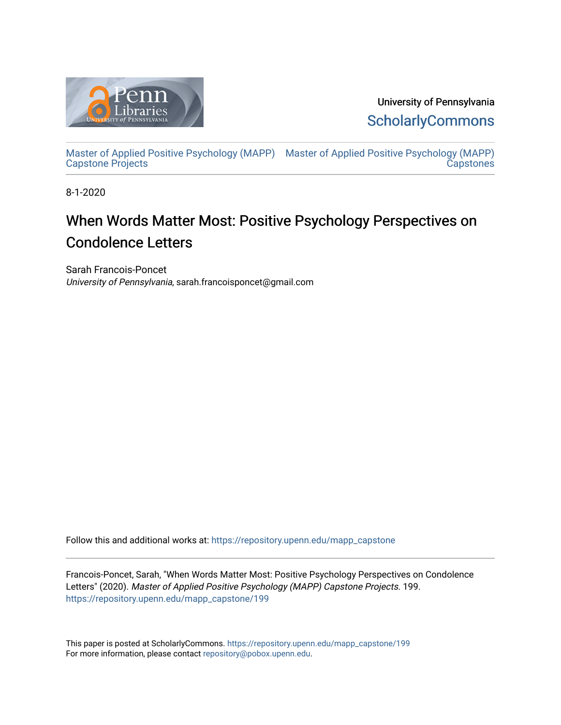

University of Pennsylvania **ScholarlyCommons** 

[Master of Applied Positive Psychology \(MAPP\)](https://repository.upenn.edu/mapp_capstone) [Master of Applied Positive Psychology \(MAPP\)](https://repository.upenn.edu/mapp_capstones)  [Capstone Projects](https://repository.upenn.edu/mapp_capstone)  **Capstones** 

8-1-2020

# When Words Matter Most: Positive Psychology Perspectives on Condolence Letters

Sarah Francois-Poncet University of Pennsylvania, sarah.francoisponcet@gmail.com

Follow this and additional works at: [https://repository.upenn.edu/mapp\\_capstone](https://repository.upenn.edu/mapp_capstone?utm_source=repository.upenn.edu%2Fmapp_capstone%2F199&utm_medium=PDF&utm_campaign=PDFCoverPages) 

Francois-Poncet, Sarah, "When Words Matter Most: Positive Psychology Perspectives on Condolence Letters" (2020). Master of Applied Positive Psychology (MAPP) Capstone Projects. 199. [https://repository.upenn.edu/mapp\\_capstone/199](https://repository.upenn.edu/mapp_capstone/199?utm_source=repository.upenn.edu%2Fmapp_capstone%2F199&utm_medium=PDF&utm_campaign=PDFCoverPages) 

This paper is posted at ScholarlyCommons. [https://repository.upenn.edu/mapp\\_capstone/199](https://repository.upenn.edu/mapp_capstone/199)  For more information, please contact [repository@pobox.upenn.edu.](mailto:repository@pobox.upenn.edu)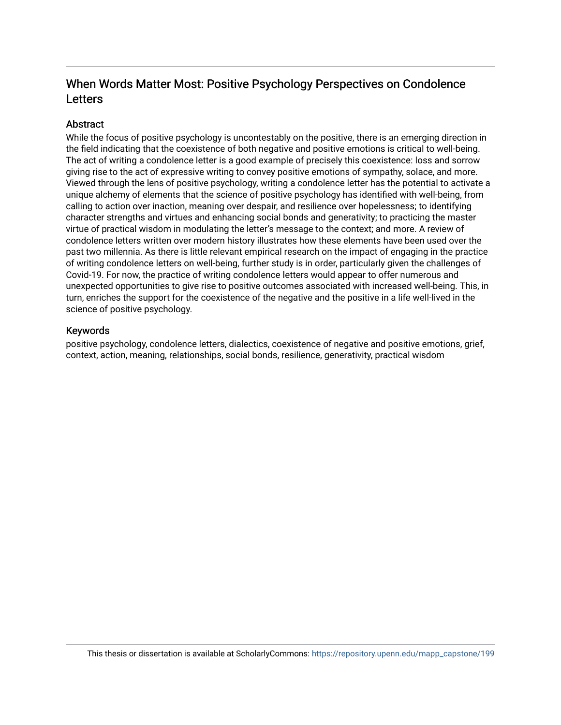# When Words Matter Most: Positive Psychology Perspectives on Condolence Letters

## **Abstract**

While the focus of positive psychology is uncontestably on the positive, there is an emerging direction in the field indicating that the coexistence of both negative and positive emotions is critical to well-being. The act of writing a condolence letter is a good example of precisely this coexistence: loss and sorrow giving rise to the act of expressive writing to convey positive emotions of sympathy, solace, and more. Viewed through the lens of positive psychology, writing a condolence letter has the potential to activate a unique alchemy of elements that the science of positive psychology has identified with well-being, from calling to action over inaction, meaning over despair, and resilience over hopelessness; to identifying character strengths and virtues and enhancing social bonds and generativity; to practicing the master virtue of practical wisdom in modulating the letter's message to the context; and more. A review of condolence letters written over modern history illustrates how these elements have been used over the past two millennia. As there is little relevant empirical research on the impact of engaging in the practice of writing condolence letters on well-being, further study is in order, particularly given the challenges of Covid-19. For now, the practice of writing condolence letters would appear to offer numerous and unexpected opportunities to give rise to positive outcomes associated with increased well-being. This, in turn, enriches the support for the coexistence of the negative and the positive in a life well-lived in the science of positive psychology.

### Keywords

positive psychology, condolence letters, dialectics, coexistence of negative and positive emotions, grief, context, action, meaning, relationships, social bonds, resilience, generativity, practical wisdom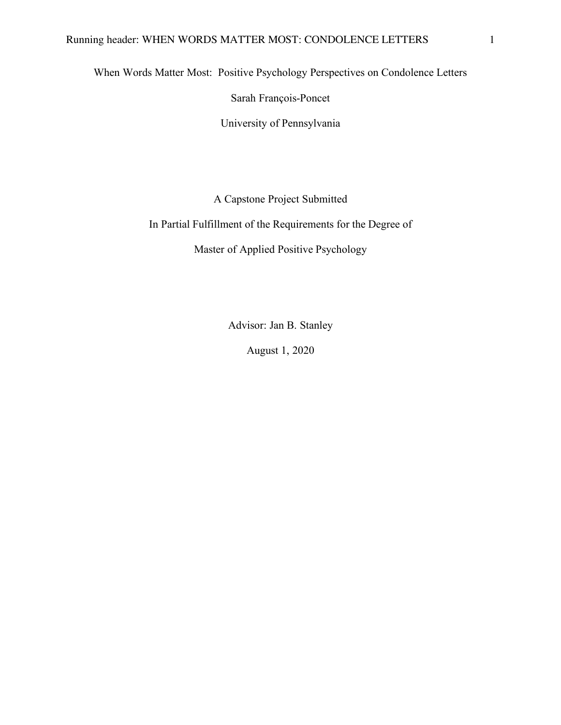When Words Matter Most: Positive Psychology Perspectives on Condolence Letters

Sarah François-Poncet

University of Pennsylvania

A Capstone Project Submitted

In Partial Fulfillment of the Requirements for the Degree of

Master of Applied Positive Psychology

Advisor: Jan B. Stanley

August 1, 2020